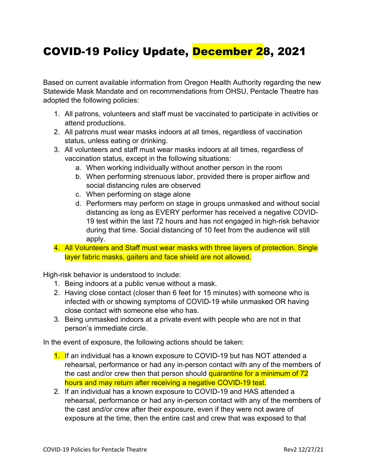## COVID-19 Policy Update, December 28, 2021

Based on current available information from Oregon Health Authority regarding the new Statewide Mask Mandate and on recommendations from OHSU, Pentacle Theatre has adopted the following policies:

- 1. All patrons, volunteers and staff must be vaccinated to participate in activities or attend productions.
- 2. All patrons must wear masks indoors at all times, regardless of vaccination status, unless eating or drinking.
- 3. All volunteers and staff must wear masks indoors at all times, regardless of vaccination status, except in the following situations:
	- a. When working individually without another person in the room
	- b. When performing strenuous labor, provided there is proper airflow and social distancing rules are observed
	- c. When performing on stage alone
	- d. Performers may perform on stage in groups unmasked and without social distancing as long as EVERY performer has received a negative COVID-19 test within the last 72 hours and has not engaged in high-risk behavior during that time. Social distancing of 10 feet from the audience will still apply.
- 4. All Volunteers and Staff must wear masks with three layers of protection. Single layer fabric masks, gaiters and face shield are not allowed.

High-risk behavior is understood to include:

- 1. Being indoors at a public venue without a mask.
- 2. Having close contact (closer than 6 feet for 15 minutes) with someone who is infected with or showing symptoms of COVID-19 while unmasked OR having close contact with someone else who has.
- 3. Being unmasked indoors at a private event with people who are not in that person's immediate circle.

In the event of exposure, the following actions should be taken:

- 1. If an individual has a known exposure to COVID-19 but has NOT attended a rehearsal, performance or had any in-person contact with any of the members of the cast and/or crew then that person should quarantine for a minimum of 72 hours and may return after receiving a negative COVID-19 test.
- 2. If an individual has a known exposure to COVID-19 and HAS attended a rehearsal, performance or had any in-person contact with any of the members of the cast and/or crew after their exposure, even if they were not aware of exposure at the time, then the entire cast and crew that was exposed to that